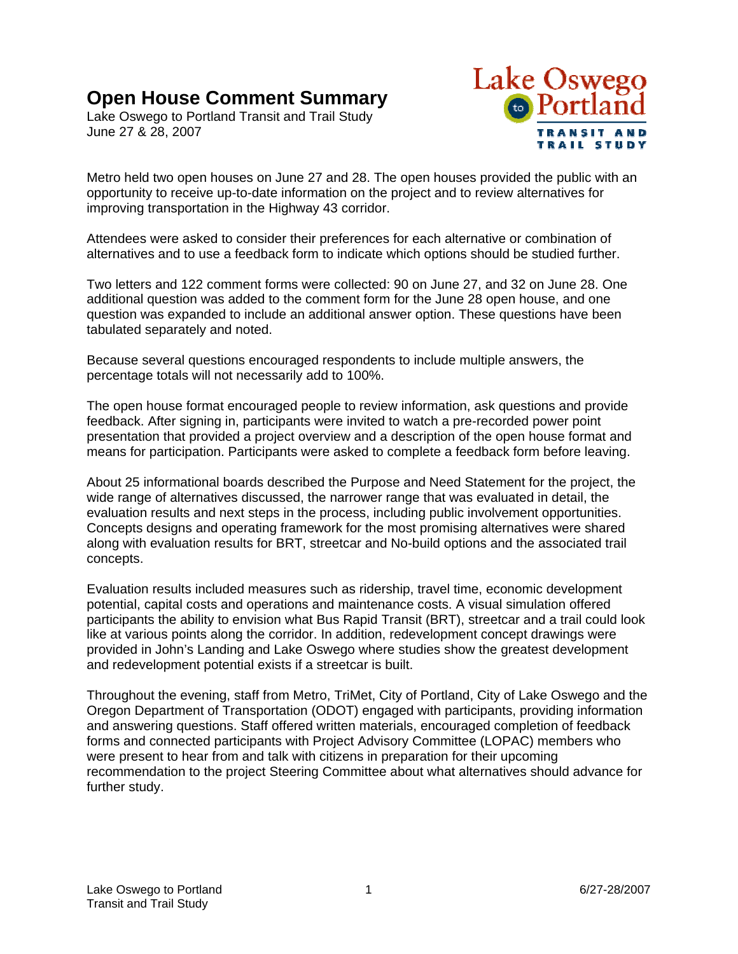# **Open House Comment Summary**

Lake Oswego to Portland Transit and Trail Study June 27 & 28, 2007



Metro held two open houses on June 27 and 28. The open houses provided the public with an opportunity to receive up-to-date information on the project and to review alternatives for improving transportation in the Highway 43 corridor.

Attendees were asked to consider their preferences for each alternative or combination of alternatives and to use a feedback form to indicate which options should be studied further.

Two letters and 122 comment forms were collected: 90 on June 27, and 32 on June 28. One additional question was added to the comment form for the June 28 open house, and one question was expanded to include an additional answer option. These questions have been tabulated separately and noted.

Because several questions encouraged respondents to include multiple answers, the percentage totals will not necessarily add to 100%.

The open house format encouraged people to review information, ask questions and provide feedback. After signing in, participants were invited to watch a pre-recorded power point presentation that provided a project overview and a description of the open house format and means for participation. Participants were asked to complete a feedback form before leaving.

About 25 informational boards described the Purpose and Need Statement for the project, the wide range of alternatives discussed, the narrower range that was evaluated in detail, the evaluation results and next steps in the process, including public involvement opportunities. Concepts designs and operating framework for the most promising alternatives were shared along with evaluation results for BRT, streetcar and No-build options and the associated trail concepts.

Evaluation results included measures such as ridership, travel time, economic development potential, capital costs and operations and maintenance costs. A visual simulation offered participants the ability to envision what Bus Rapid Transit (BRT), streetcar and a trail could look like at various points along the corridor. In addition, redevelopment concept drawings were provided in John's Landing and Lake Oswego where studies show the greatest development and redevelopment potential exists if a streetcar is built.

Throughout the evening, staff from Metro, TriMet, City of Portland, City of Lake Oswego and the Oregon Department of Transportation (ODOT) engaged with participants, providing information and answering questions. Staff offered written materials, encouraged completion of feedback forms and connected participants with Project Advisory Committee (LOPAC) members who were present to hear from and talk with citizens in preparation for their upcoming recommendation to the project Steering Committee about what alternatives should advance for further study.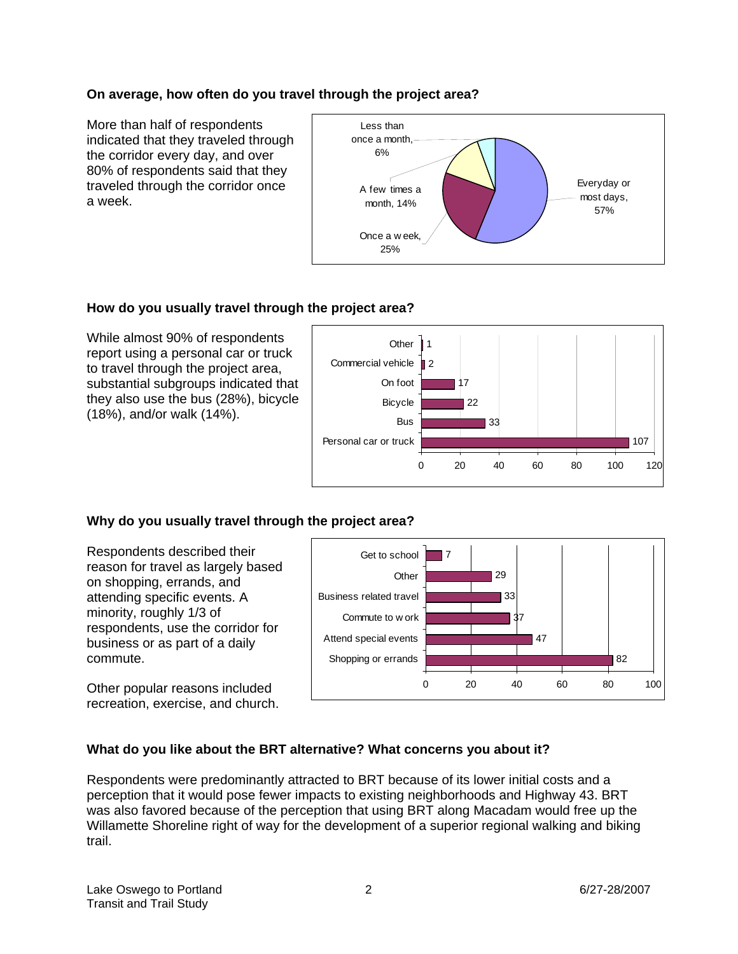# **On average, how often do you travel through the project area?**

More than half of respondents indicated that they traveled through the corridor every day, and over 80% of respondents said that they traveled through the corridor once a week.



# **How do you usually travel through the project area?**

While almost 90% of respondents report using a personal car or truck to travel through the project area, substantial subgroups indicated that they also use the bus (28%), bicycle (18%), and/or walk (14%).



# **Why do you usually travel through the project area?**

Respondents described their reason for travel as largely based on shopping, errands, and attending specific events. A minority, roughly 1/3 of respondents, use the corridor for business or as part of a daily commute.

Other popular reasons included recreation, exercise, and church.



# **What do you like about the BRT alternative? What concerns you about it?**

Respondents were predominantly attracted to BRT because of its lower initial costs and a perception that it would pose fewer impacts to existing neighborhoods and Highway 43. BRT was also favored because of the perception that using BRT along Macadam would free up the Willamette Shoreline right of way for the development of a superior regional walking and biking trail.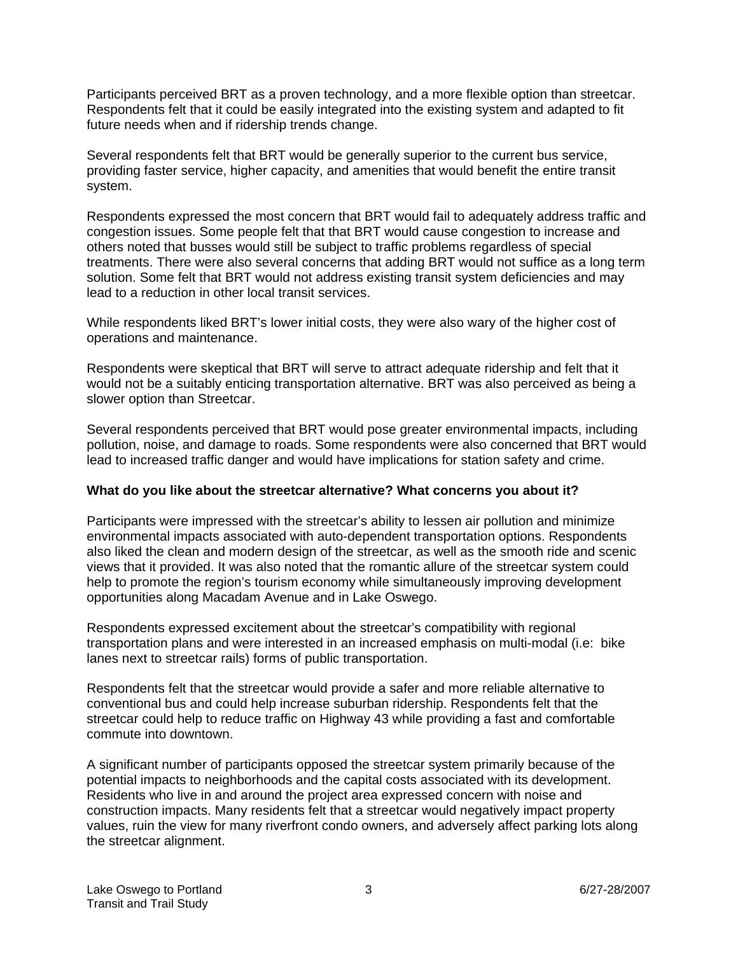Participants perceived BRT as a proven technology, and a more flexible option than streetcar. Respondents felt that it could be easily integrated into the existing system and adapted to fit future needs when and if ridership trends change.

Several respondents felt that BRT would be generally superior to the current bus service, providing faster service, higher capacity, and amenities that would benefit the entire transit system.

Respondents expressed the most concern that BRT would fail to adequately address traffic and congestion issues. Some people felt that that BRT would cause congestion to increase and others noted that busses would still be subject to traffic problems regardless of special treatments. There were also several concerns that adding BRT would not suffice as a long term solution. Some felt that BRT would not address existing transit system deficiencies and may lead to a reduction in other local transit services.

While respondents liked BRT's lower initial costs, they were also wary of the higher cost of operations and maintenance.

Respondents were skeptical that BRT will serve to attract adequate ridership and felt that it would not be a suitably enticing transportation alternative. BRT was also perceived as being a slower option than Streetcar.

Several respondents perceived that BRT would pose greater environmental impacts, including pollution, noise, and damage to roads. Some respondents were also concerned that BRT would lead to increased traffic danger and would have implications for station safety and crime.

## **What do you like about the streetcar alternative? What concerns you about it?**

Participants were impressed with the streetcar's ability to lessen air pollution and minimize environmental impacts associated with auto-dependent transportation options. Respondents also liked the clean and modern design of the streetcar, as well as the smooth ride and scenic views that it provided. It was also noted that the romantic allure of the streetcar system could help to promote the region's tourism economy while simultaneously improving development opportunities along Macadam Avenue and in Lake Oswego.

Respondents expressed excitement about the streetcar's compatibility with regional transportation plans and were interested in an increased emphasis on multi-modal (i.e: bike lanes next to streetcar rails) forms of public transportation.

Respondents felt that the streetcar would provide a safer and more reliable alternative to conventional bus and could help increase suburban ridership. Respondents felt that the streetcar could help to reduce traffic on Highway 43 while providing a fast and comfortable commute into downtown.

A significant number of participants opposed the streetcar system primarily because of the potential impacts to neighborhoods and the capital costs associated with its development. Residents who live in and around the project area expressed concern with noise and construction impacts. Many residents felt that a streetcar would negatively impact property values, ruin the view for many riverfront condo owners, and adversely affect parking lots along the streetcar alignment.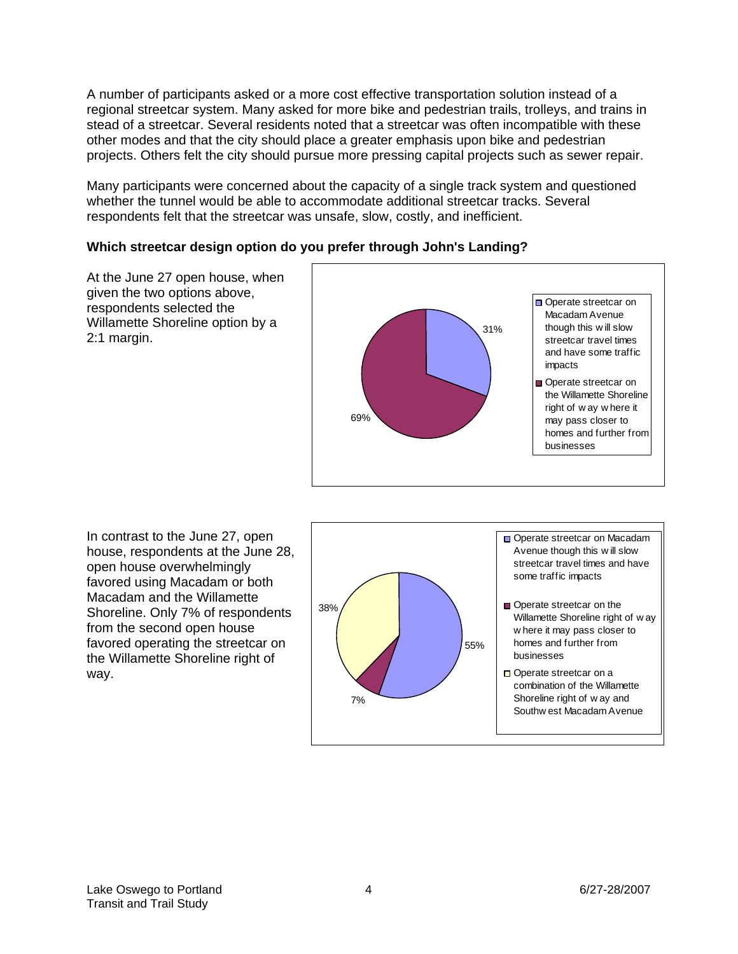A number of participants asked or a more cost effective transportation solution instead of a regional streetcar system. Many asked for more bike and pedestrian trails, trolleys, and trains in stead of a streetcar. Several residents noted that a streetcar was often incompatible with these other modes and that the city should place a greater emphasis upon bike and pedestrian projects. Others felt the city should pursue more pressing capital projects such as sewer repair.

Many participants were concerned about the capacity of a single track system and questioned whether the tunnel would be able to accommodate additional streetcar tracks. Several respondents felt that the streetcar was unsafe, slow, costly, and inefficient.

# **Which streetcar design option do you prefer through John's Landing?**

At the June 27 open house, when given the two options above, respondents selected the Willamette Shoreline option by a 2:1 margin.



In contrast to the June 27, open house, respondents at the June 28, open house overwhelmingly favored using Macadam or both Macadam and the Willamette Shoreline. Only 7% of respondents from the second open house favored operating the streetcar on the Willamette Shoreline right of way.

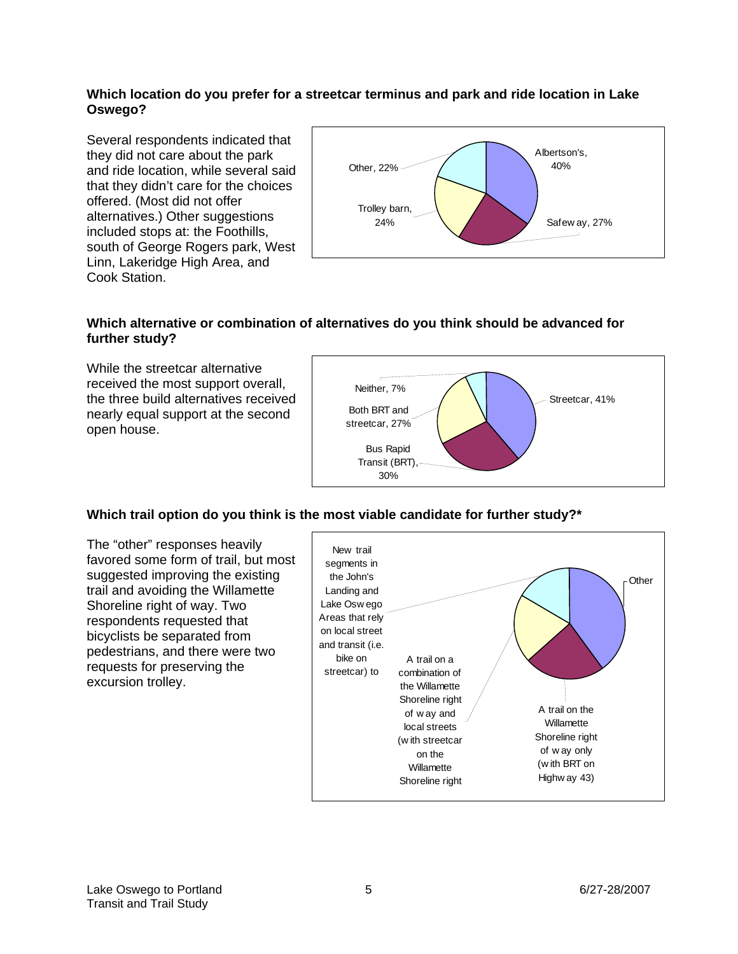## **Which location do you prefer for a streetcar terminus and park and ride location in Lake Oswego?**

Several respondents indicated that they did not care about the park and ride location, while several said that they didn't care for the choices offered. (Most did not offer alternatives.) Other suggestions included stops at: the Foothills, south of George Rogers park, West Linn, Lakeridge High Area, and Cook Station.



## **Which alternative or combination of alternatives do you think should be advanced for further study?**

While the streetcar alternative received the most support overall, the three build alternatives received nearly equal support at the second open house.



## **Which trail option do you think is the most viable candidate for further study?\***

The "other" responses heavily favored some form of trail, but most suggested improving the existing trail and avoiding the Willamette Shoreline right of way. Two respondents requested that bicyclists be separated from pedestrians, and there were two requests for preserving the excursion trolley.

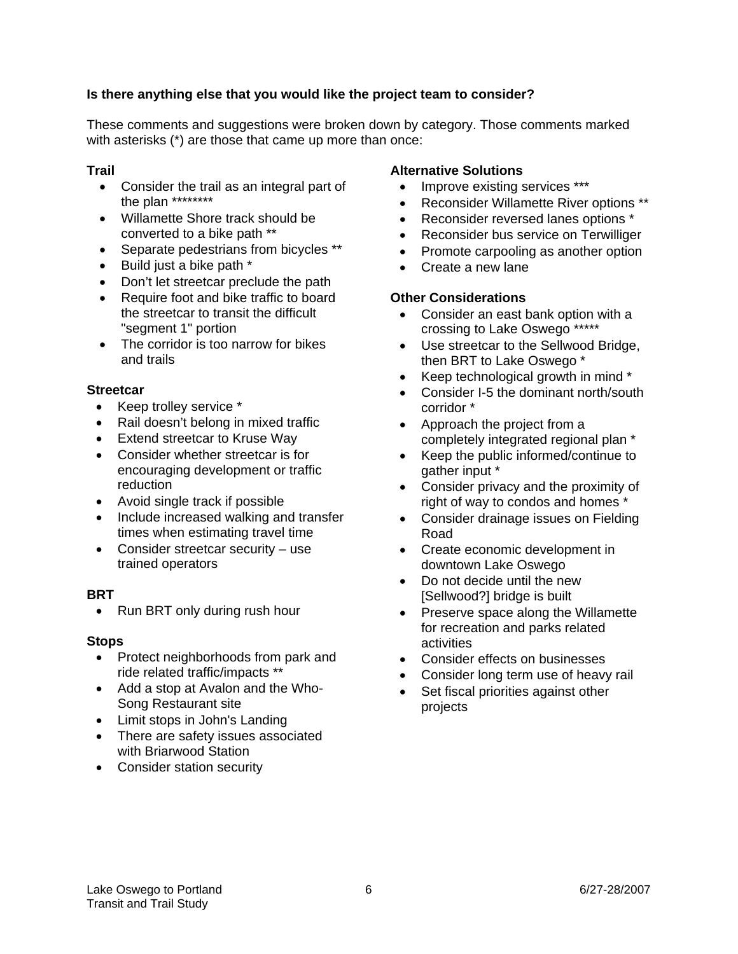# **Is there anything else that you would like the project team to consider?**

These comments and suggestions were broken down by category. Those comments marked with asterisks (\*) are those that came up more than once:

## **Trail**

- Consider the trail as an integral part of the plan \*\*\*\*\*\*\*\*
- Willamette Shore track should be converted to a bike path \*\*
- Separate pedestrians from bicycles \*\*
- Build just a bike path \*
- Don't let streetcar preclude the path
- Require foot and bike traffic to board the streetcar to transit the difficult "segment 1" portion
- The corridor is too narrow for bikes and trails

#### **Streetcar**

- Keep trolley service \*
- Rail doesn't belong in mixed traffic
- **Extend streetcar to Kruse Way**
- Consider whether streetcar is for encouraging development or traffic reduction
- Avoid single track if possible
- Include increased walking and transfer times when estimating travel time
- Consider streetcar security use trained operators

#### **BRT**

• Run BRT only during rush hour

#### **Stops**

- Protect neighborhoods from park and ride related traffic/impacts \*\*
- Add a stop at Avalon and the Who-Song Restaurant site
- Limit stops in John's Landing
- There are safety issues associated with Briarwood Station
- Consider station security

#### **Alternative Solutions**

- Improve existing services \*\*\*
- Reconsider Willamette River options \*\*
- Reconsider reversed lanes options \*
- Reconsider bus service on Terwilliger
- Promote carpooling as another option
- Create a new lane

#### **Other Considerations**

- Consider an east bank option with a crossing to Lake Oswego \*\*\*\*\*
- Use streetcar to the Sellwood Bridge, then BRT to Lake Oswego \*
- Keep technological growth in mind \*
- Consider I-5 the dominant north/south corridor \*
- Approach the project from a completely integrated regional plan \*
- Keep the public informed/continue to gather input \*
- Consider privacy and the proximity of right of way to condos and homes \*
- Consider drainage issues on Fielding Road
- Create economic development in downtown Lake Oswego
- Do not decide until the new [Sellwood?] bridge is built
- Preserve space along the Willamette for recreation and parks related activities
- Consider effects on businesses
- Consider long term use of heavy rail
- Set fiscal priorities against other projects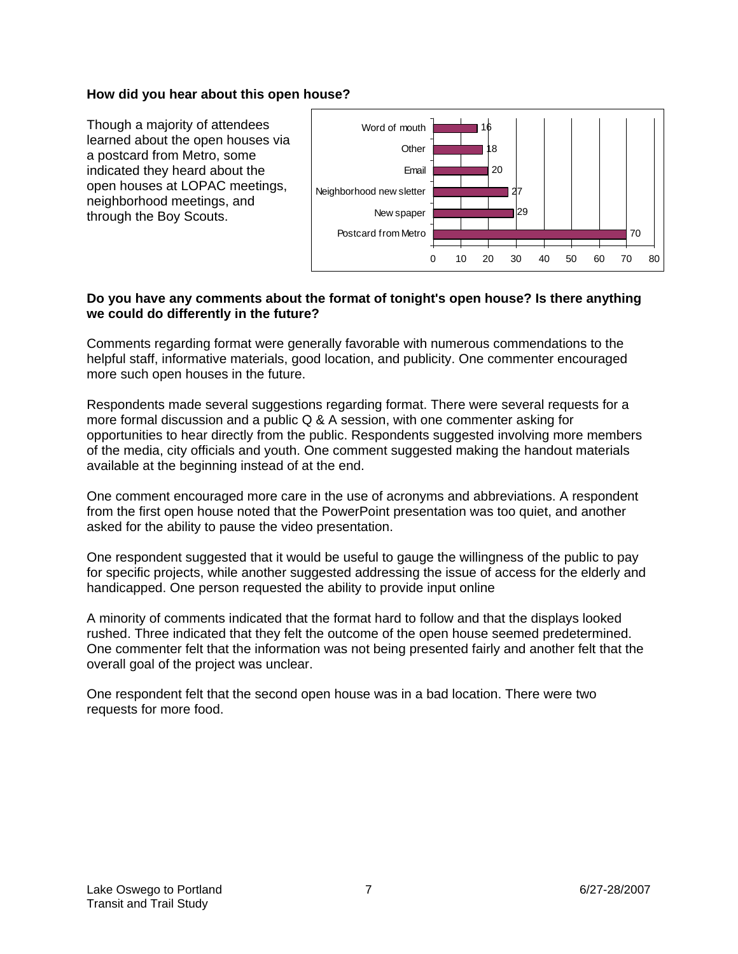#### **How did you hear about this open house?**

Though a majority of attendees learned about the open houses via a postcard from Metro, some indicated they heard about the open houses at LOPAC meetings, neighborhood meetings, and through the Boy Scouts.



# **Do you have any comments about the format of tonight's open house? Is there anything we could do differently in the future?**

Comments regarding format were generally favorable with numerous commendations to the helpful staff, informative materials, good location, and publicity. One commenter encouraged more such open houses in the future.

Respondents made several suggestions regarding format. There were several requests for a more formal discussion and a public Q & A session, with one commenter asking for opportunities to hear directly from the public. Respondents suggested involving more members of the media, city officials and youth. One comment suggested making the handout materials available at the beginning instead of at the end.

One comment encouraged more care in the use of acronyms and abbreviations. A respondent from the first open house noted that the PowerPoint presentation was too quiet, and another asked for the ability to pause the video presentation.

One respondent suggested that it would be useful to gauge the willingness of the public to pay for specific projects, while another suggested addressing the issue of access for the elderly and handicapped. One person requested the ability to provide input online

A minority of comments indicated that the format hard to follow and that the displays looked rushed. Three indicated that they felt the outcome of the open house seemed predetermined. One commenter felt that the information was not being presented fairly and another felt that the overall goal of the project was unclear.

One respondent felt that the second open house was in a bad location. There were two requests for more food.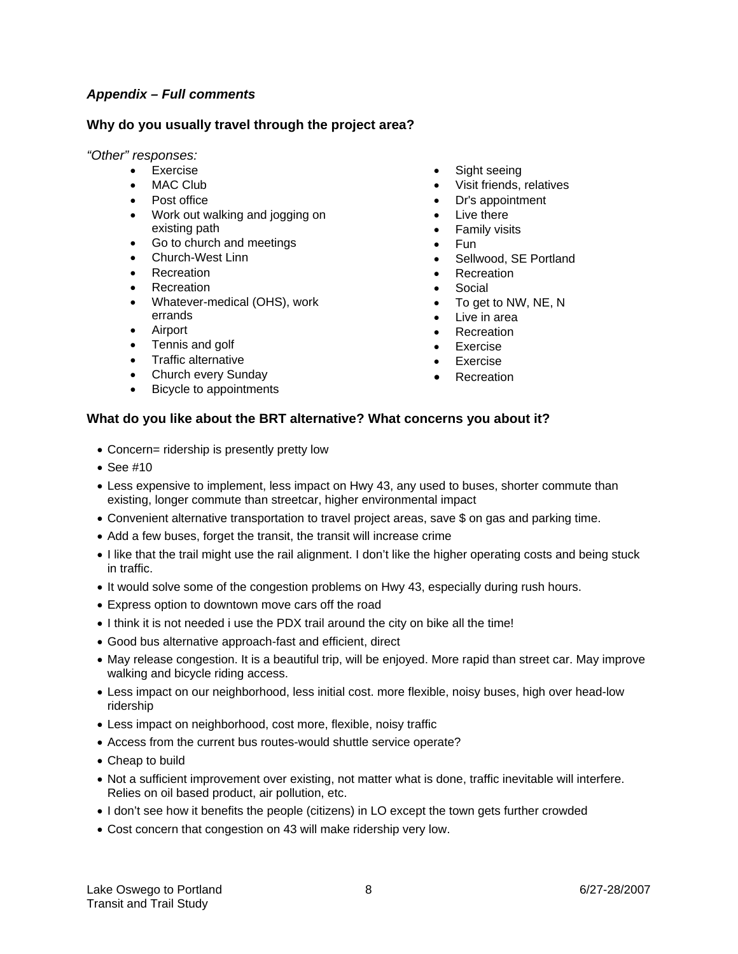## *Appendix – Full comments*

#### **Why do you usually travel through the project area?**

#### *"Other" responses:*

- Exercise
	- MAC Club
	- Post office
	- Work out walking and jogging on existing path
	- Go to church and meetings
	- Church-West Linn
	- Recreation
	- Recreation
	- Whatever-medical (OHS), work errands
	- Airport
	- Tennis and golf
	- Traffic alternative
	- Church every Sunday
	- Bicycle to appointments
- Sight seeing
- Visit friends, relatives
- Dr's appointment
- Live there
- Family visits
- Fun
- Sellwood, SE Portland
- **Recreation**
- Social
- To get to NW, NE, N
- Live in area
- Recreation
- **Exercise**
- **Exercise**
- **Recreation**

#### **What do you like about the BRT alternative? What concerns you about it?**

- Concern= ridership is presently pretty low
- See #10
- Less expensive to implement, less impact on Hwy 43, any used to buses, shorter commute than existing, longer commute than streetcar, higher environmental impact
- Convenient alternative transportation to travel project areas, save \$ on gas and parking time.
- Add a few buses, forget the transit, the transit will increase crime
- I like that the trail might use the rail alignment. I don't like the higher operating costs and being stuck in traffic.
- It would solve some of the congestion problems on Hwy 43, especially during rush hours.
- Express option to downtown move cars off the road
- I think it is not needed i use the PDX trail around the city on bike all the time!
- Good bus alternative approach-fast and efficient, direct
- May release congestion. It is a beautiful trip, will be enjoyed. More rapid than street car. May improve walking and bicycle riding access.
- Less impact on our neighborhood, less initial cost. more flexible, noisy buses, high over head-low ridership
- Less impact on neighborhood, cost more, flexible, noisy traffic
- Access from the current bus routes-would shuttle service operate?
- Cheap to build
- Not a sufficient improvement over existing, not matter what is done, traffic inevitable will interfere. Relies on oil based product, air pollution, etc.
- I don't see how it benefits the people (citizens) in LO except the town gets further crowded
- Cost concern that congestion on 43 will make ridership very low.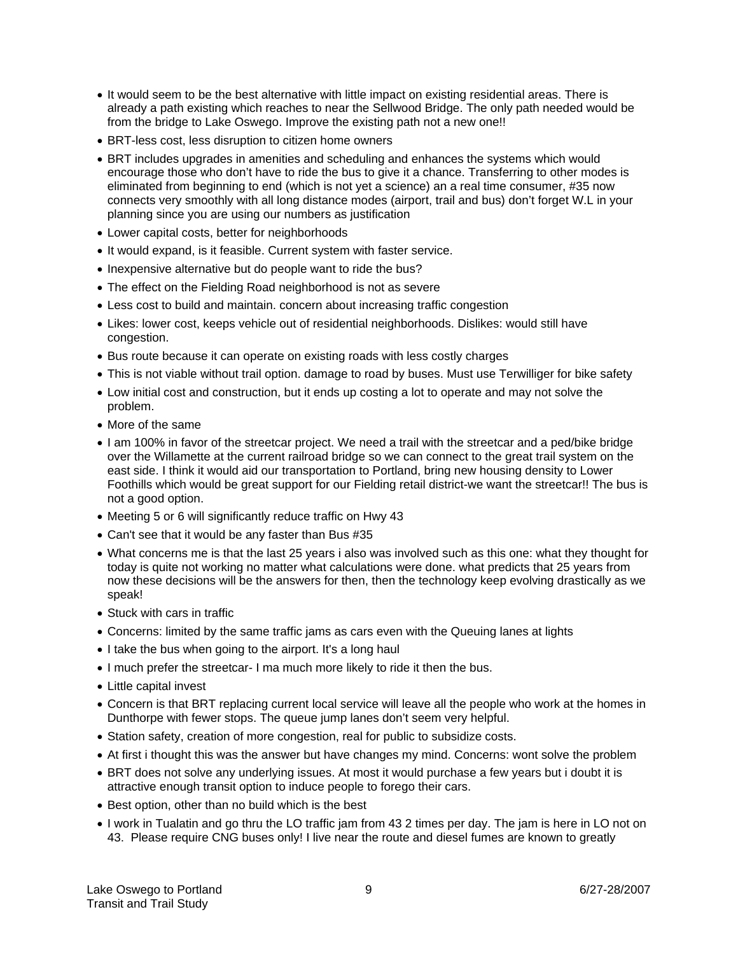- It would seem to be the best alternative with little impact on existing residential areas. There is already a path existing which reaches to near the Sellwood Bridge. The only path needed would be from the bridge to Lake Oswego. Improve the existing path not a new one!!
- BRT-less cost, less disruption to citizen home owners
- BRT includes upgrades in amenities and scheduling and enhances the systems which would encourage those who don't have to ride the bus to give it a chance. Transferring to other modes is eliminated from beginning to end (which is not yet a science) an a real time consumer, #35 now connects very smoothly with all long distance modes (airport, trail and bus) don't forget W.L in your planning since you are using our numbers as justification
- Lower capital costs, better for neighborhoods
- It would expand, is it feasible. Current system with faster service.
- Inexpensive alternative but do people want to ride the bus?
- The effect on the Fielding Road neighborhood is not as severe
- Less cost to build and maintain. concern about increasing traffic congestion
- Likes: lower cost, keeps vehicle out of residential neighborhoods. Dislikes: would still have congestion.
- Bus route because it can operate on existing roads with less costly charges
- This is not viable without trail option. damage to road by buses. Must use Terwilliger for bike safety
- Low initial cost and construction, but it ends up costing a lot to operate and may not solve the problem.
- More of the same
- I am 100% in favor of the streetcar project. We need a trail with the streetcar and a ped/bike bridge over the Willamette at the current railroad bridge so we can connect to the great trail system on the east side. I think it would aid our transportation to Portland, bring new housing density to Lower Foothills which would be great support for our Fielding retail district-we want the streetcar!! The bus is not a good option.
- Meeting 5 or 6 will significantly reduce traffic on Hwy 43
- Can't see that it would be any faster than Bus #35
- What concerns me is that the last 25 years i also was involved such as this one: what they thought for today is quite not working no matter what calculations were done. what predicts that 25 years from now these decisions will be the answers for then, then the technology keep evolving drastically as we speak!
- Stuck with cars in traffic
- Concerns: limited by the same traffic jams as cars even with the Queuing lanes at lights
- I take the bus when going to the airport. It's a long haul
- I much prefer the streetcar- I ma much more likely to ride it then the bus.
- Little capital invest
- Concern is that BRT replacing current local service will leave all the people who work at the homes in Dunthorpe with fewer stops. The queue jump lanes don't seem very helpful.
- Station safety, creation of more congestion, real for public to subsidize costs.
- At first i thought this was the answer but have changes my mind. Concerns: wont solve the problem
- BRT does not solve any underlying issues. At most it would purchase a few years but i doubt it is attractive enough transit option to induce people to forego their cars.
- Best option, other than no build which is the best
- I work in Tualatin and go thru the LO traffic jam from 43 2 times per day. The jam is here in LO not on 43. Please require CNG buses only! I live near the route and diesel fumes are known to greatly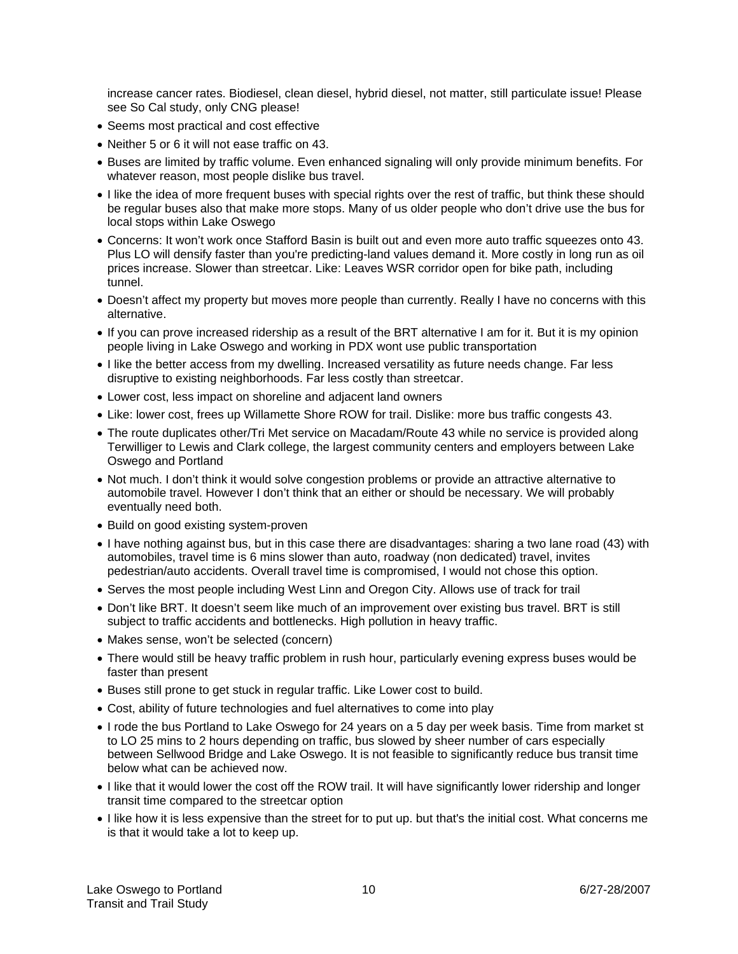increase cancer rates. Biodiesel, clean diesel, hybrid diesel, not matter, still particulate issue! Please see So Cal study, only CNG please!

- Seems most practical and cost effective
- Neither 5 or 6 it will not ease traffic on 43.
- Buses are limited by traffic volume. Even enhanced signaling will only provide minimum benefits. For whatever reason, most people dislike bus travel.
- I like the idea of more frequent buses with special rights over the rest of traffic, but think these should be regular buses also that make more stops. Many of us older people who don't drive use the bus for local stops within Lake Oswego
- Concerns: It won't work once Stafford Basin is built out and even more auto traffic squeezes onto 43. Plus LO will densify faster than you're predicting-land values demand it. More costly in long run as oil prices increase. Slower than streetcar. Like: Leaves WSR corridor open for bike path, including tunnel.
- Doesn't affect my property but moves more people than currently. Really I have no concerns with this alternative.
- If you can prove increased ridership as a result of the BRT alternative I am for it. But it is my opinion people living in Lake Oswego and working in PDX wont use public transportation
- I like the better access from my dwelling. Increased versatility as future needs change. Far less disruptive to existing neighborhoods. Far less costly than streetcar.
- Lower cost, less impact on shoreline and adjacent land owners
- Like: lower cost, frees up Willamette Shore ROW for trail. Dislike: more bus traffic congests 43.
- The route duplicates other/Tri Met service on Macadam/Route 43 while no service is provided along Terwilliger to Lewis and Clark college, the largest community centers and employers between Lake Oswego and Portland
- Not much. I don't think it would solve congestion problems or provide an attractive alternative to automobile travel. However I don't think that an either or should be necessary. We will probably eventually need both.
- Build on good existing system-proven
- I have nothing against bus, but in this case there are disadvantages: sharing a two lane road (43) with automobiles, travel time is 6 mins slower than auto, roadway (non dedicated) travel, invites pedestrian/auto accidents. Overall travel time is compromised, I would not chose this option.
- Serves the most people including West Linn and Oregon City. Allows use of track for trail
- Don't like BRT. It doesn't seem like much of an improvement over existing bus travel. BRT is still subject to traffic accidents and bottlenecks. High pollution in heavy traffic.
- Makes sense, won't be selected (concern)
- There would still be heavy traffic problem in rush hour, particularly evening express buses would be faster than present
- Buses still prone to get stuck in regular traffic. Like Lower cost to build.
- Cost, ability of future technologies and fuel alternatives to come into play
- I rode the bus Portland to Lake Oswego for 24 years on a 5 day per week basis. Time from market st to LO 25 mins to 2 hours depending on traffic, bus slowed by sheer number of cars especially between Sellwood Bridge and Lake Oswego. It is not feasible to significantly reduce bus transit time below what can be achieved now.
- I like that it would lower the cost off the ROW trail. It will have significantly lower ridership and longer transit time compared to the streetcar option
- I like how it is less expensive than the street for to put up. but that's the initial cost. What concerns me is that it would take a lot to keep up.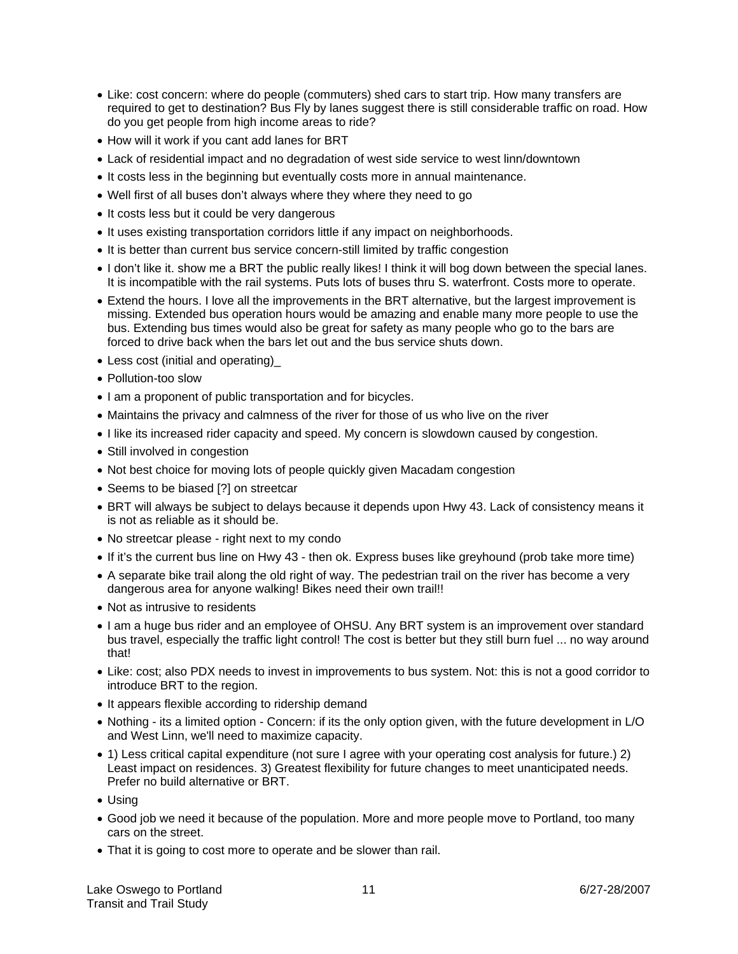- Like: cost concern: where do people (commuters) shed cars to start trip. How many transfers are required to get to destination? Bus Fly by lanes suggest there is still considerable traffic on road. How do you get people from high income areas to ride?
- How will it work if you cant add lanes for BRT
- Lack of residential impact and no degradation of west side service to west linn/downtown
- It costs less in the beginning but eventually costs more in annual maintenance.
- Well first of all buses don't always where they where they need to go
- It costs less but it could be very dangerous
- It uses existing transportation corridors little if any impact on neighborhoods.
- It is better than current bus service concern-still limited by traffic congestion
- I don't like it. show me a BRT the public really likes! I think it will bog down between the special lanes. It is incompatible with the rail systems. Puts lots of buses thru S. waterfront. Costs more to operate.
- Extend the hours. I love all the improvements in the BRT alternative, but the largest improvement is missing. Extended bus operation hours would be amazing and enable many more people to use the bus. Extending bus times would also be great for safety as many people who go to the bars are forced to drive back when the bars let out and the bus service shuts down.
- Less cost (initial and operating)\_
- Pollution-too slow
- I am a proponent of public transportation and for bicycles.
- Maintains the privacy and calmness of the river for those of us who live on the river
- I like its increased rider capacity and speed. My concern is slowdown caused by congestion.
- Still involved in congestion
- Not best choice for moving lots of people quickly given Macadam congestion
- Seems to be biased [?] on streetcar
- BRT will always be subject to delays because it depends upon Hwy 43. Lack of consistency means it is not as reliable as it should be.
- No streetcar please right next to my condo
- If it's the current bus line on Hwy 43 then ok. Express buses like greyhound (prob take more time)
- A separate bike trail along the old right of way. The pedestrian trail on the river has become a very dangerous area for anyone walking! Bikes need their own trail!!
- Not as intrusive to residents
- I am a huge bus rider and an employee of OHSU. Any BRT system is an improvement over standard bus travel, especially the traffic light control! The cost is better but they still burn fuel ... no way around that!
- Like: cost; also PDX needs to invest in improvements to bus system. Not: this is not a good corridor to introduce BRT to the region.
- It appears flexible according to ridership demand
- Nothing its a limited option Concern: if its the only option given, with the future development in L/O and West Linn, we'll need to maximize capacity.
- 1) Less critical capital expenditure (not sure I agree with your operating cost analysis for future.) 2) Least impact on residences. 3) Greatest flexibility for future changes to meet unanticipated needs. Prefer no build alternative or BRT.
- Using
- Good job we need it because of the population. More and more people move to Portland, too many cars on the street.
- That it is going to cost more to operate and be slower than rail.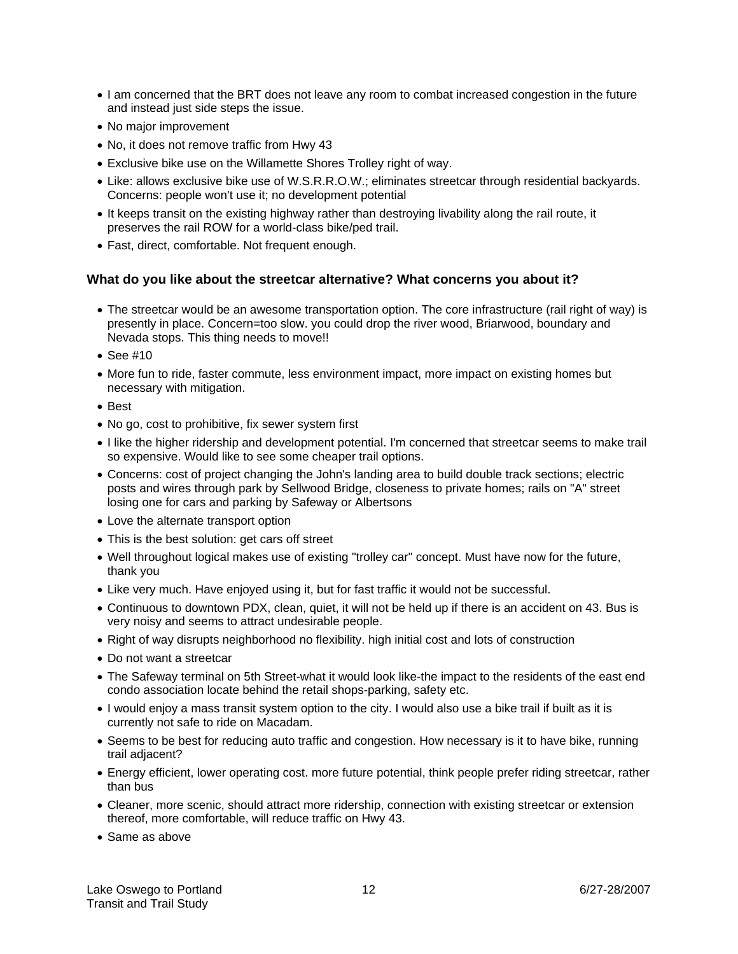- I am concerned that the BRT does not leave any room to combat increased congestion in the future and instead just side steps the issue.
- No major improvement
- No, it does not remove traffic from Hwy 43
- Exclusive bike use on the Willamette Shores Trolley right of way.
- Like: allows exclusive bike use of W.S.R.R.O.W.; eliminates streetcar through residential backyards. Concerns: people won't use it; no development potential
- It keeps transit on the existing highway rather than destroying livability along the rail route, it preserves the rail ROW for a world-class bike/ped trail.
- Fast, direct, comfortable. Not frequent enough.

#### **What do you like about the streetcar alternative? What concerns you about it?**

- The streetcar would be an awesome transportation option. The core infrastructure (rail right of way) is presently in place. Concern=too slow. you could drop the river wood, Briarwood, boundary and Nevada stops. This thing needs to move!!
- See #10
- More fun to ride, faster commute, less environment impact, more impact on existing homes but necessary with mitigation.
- Best
- No go, cost to prohibitive, fix sewer system first
- I like the higher ridership and development potential. I'm concerned that streetcar seems to make trail so expensive. Would like to see some cheaper trail options.
- Concerns: cost of project changing the John's landing area to build double track sections; electric posts and wires through park by Sellwood Bridge, closeness to private homes; rails on "A" street losing one for cars and parking by Safeway or Albertsons
- Love the alternate transport option
- This is the best solution: get cars off street
- Well throughout logical makes use of existing "trolley car" concept. Must have now for the future, thank you
- Like very much. Have enjoyed using it, but for fast traffic it would not be successful.
- Continuous to downtown PDX, clean, quiet, it will not be held up if there is an accident on 43. Bus is very noisy and seems to attract undesirable people.
- Right of way disrupts neighborhood no flexibility. high initial cost and lots of construction
- Do not want a streetcar
- The Safeway terminal on 5th Street-what it would look like-the impact to the residents of the east end condo association locate behind the retail shops-parking, safety etc.
- I would enjoy a mass transit system option to the city. I would also use a bike trail if built as it is currently not safe to ride on Macadam.
- Seems to be best for reducing auto traffic and congestion. How necessary is it to have bike, running trail adjacent?
- Energy efficient, lower operating cost. more future potential, think people prefer riding streetcar, rather than bus
- Cleaner, more scenic, should attract more ridership, connection with existing streetcar or extension thereof, more comfortable, will reduce traffic on Hwy 43.
- Same as above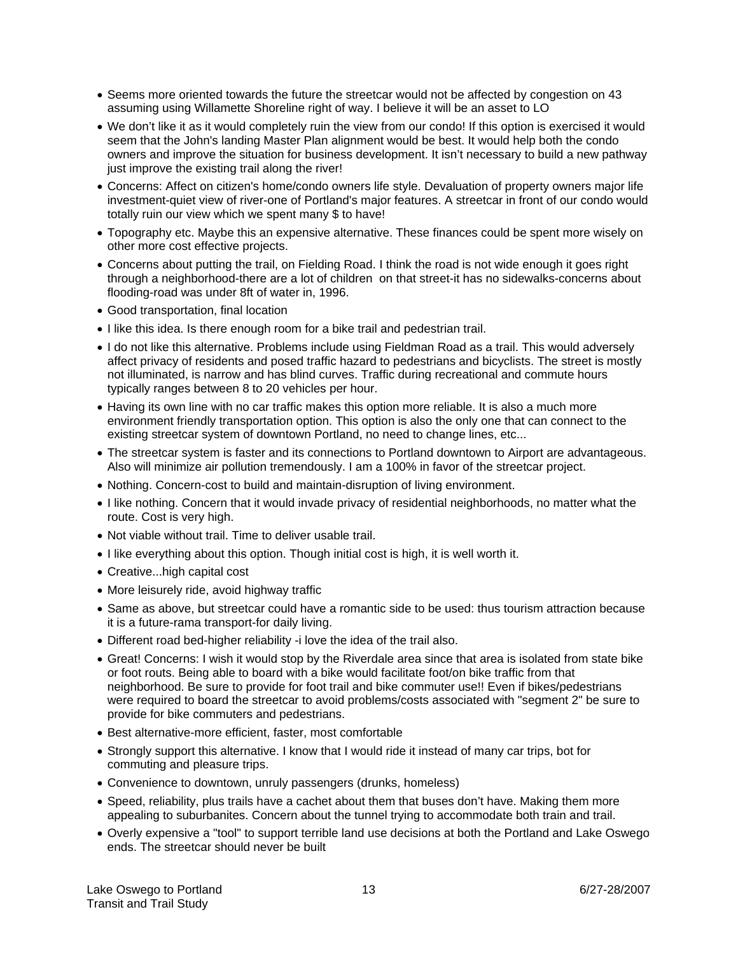- Seems more oriented towards the future the streetcar would not be affected by congestion on 43 assuming using Willamette Shoreline right of way. I believe it will be an asset to LO
- We don't like it as it would completely ruin the view from our condo! If this option is exercised it would seem that the John's landing Master Plan alignment would be best. It would help both the condo owners and improve the situation for business development. It isn't necessary to build a new pathway just improve the existing trail along the river!
- Concerns: Affect on citizen's home/condo owners life style. Devaluation of property owners major life investment-quiet view of river-one of Portland's major features. A streetcar in front of our condo would totally ruin our view which we spent many \$ to have!
- Topography etc. Maybe this an expensive alternative. These finances could be spent more wisely on other more cost effective projects.
- Concerns about putting the trail, on Fielding Road. I think the road is not wide enough it goes right through a neighborhood-there are a lot of children on that street-it has no sidewalks-concerns about flooding-road was under 8ft of water in, 1996.
- Good transportation, final location
- I like this idea. Is there enough room for a bike trail and pedestrian trail.
- I do not like this alternative. Problems include using Fieldman Road as a trail. This would adversely affect privacy of residents and posed traffic hazard to pedestrians and bicyclists. The street is mostly not illuminated, is narrow and has blind curves. Traffic during recreational and commute hours typically ranges between 8 to 20 vehicles per hour.
- Having its own line with no car traffic makes this option more reliable. It is also a much more environment friendly transportation option. This option is also the only one that can connect to the existing streetcar system of downtown Portland, no need to change lines, etc...
- The streetcar system is faster and its connections to Portland downtown to Airport are advantageous. Also will minimize air pollution tremendously. I am a 100% in favor of the streetcar project.
- Nothing. Concern-cost to build and maintain-disruption of living environment.
- I like nothing. Concern that it would invade privacy of residential neighborhoods, no matter what the route. Cost is very high.
- Not viable without trail. Time to deliver usable trail.
- I like everything about this option. Though initial cost is high, it is well worth it.
- Creative...high capital cost
- More leisurely ride, avoid highway traffic
- Same as above, but streetcar could have a romantic side to be used: thus tourism attraction because it is a future-rama transport-for daily living.
- Different road bed-higher reliability -i love the idea of the trail also.
- Great! Concerns: I wish it would stop by the Riverdale area since that area is isolated from state bike or foot routs. Being able to board with a bike would facilitate foot/on bike traffic from that neighborhood. Be sure to provide for foot trail and bike commuter use!! Even if bikes/pedestrians were required to board the streetcar to avoid problems/costs associated with "segment 2" be sure to provide for bike commuters and pedestrians.
- Best alternative-more efficient, faster, most comfortable
- Strongly support this alternative. I know that I would ride it instead of many car trips, bot for commuting and pleasure trips.
- Convenience to downtown, unruly passengers (drunks, homeless)
- Speed, reliability, plus trails have a cachet about them that buses don't have. Making them more appealing to suburbanites. Concern about the tunnel trying to accommodate both train and trail.
- Overly expensive a "tool" to support terrible land use decisions at both the Portland and Lake Oswego ends. The streetcar should never be built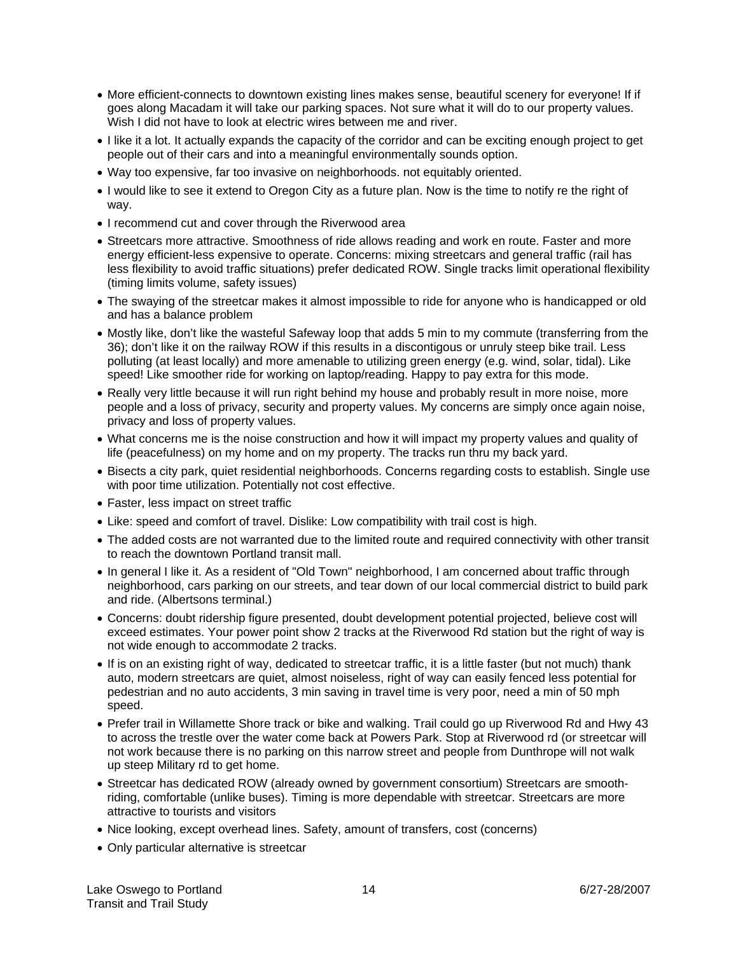- More efficient-connects to downtown existing lines makes sense, beautiful scenery for everyone! If if goes along Macadam it will take our parking spaces. Not sure what it will do to our property values. Wish I did not have to look at electric wires between me and river.
- I like it a lot. It actually expands the capacity of the corridor and can be exciting enough project to get people out of their cars and into a meaningful environmentally sounds option.
- Way too expensive, far too invasive on neighborhoods. not equitably oriented.
- I would like to see it extend to Oregon City as a future plan. Now is the time to notify re the right of way.
- I recommend cut and cover through the Riverwood area
- Streetcars more attractive. Smoothness of ride allows reading and work en route. Faster and more energy efficient-less expensive to operate. Concerns: mixing streetcars and general traffic (rail has less flexibility to avoid traffic situations) prefer dedicated ROW. Single tracks limit operational flexibility (timing limits volume, safety issues)
- The swaying of the streetcar makes it almost impossible to ride for anyone who is handicapped or old and has a balance problem
- Mostly like, don't like the wasteful Safeway loop that adds 5 min to my commute (transferring from the 36); don't like it on the railway ROW if this results in a discontigous or unruly steep bike trail. Less polluting (at least locally) and more amenable to utilizing green energy (e.g. wind, solar, tidal). Like speed! Like smoother ride for working on laptop/reading. Happy to pay extra for this mode.
- Really very little because it will run right behind my house and probably result in more noise, more people and a loss of privacy, security and property values. My concerns are simply once again noise, privacy and loss of property values.
- What concerns me is the noise construction and how it will impact my property values and quality of life (peacefulness) on my home and on my property. The tracks run thru my back yard.
- Bisects a city park, quiet residential neighborhoods. Concerns regarding costs to establish. Single use with poor time utilization. Potentially not cost effective.
- Faster, less impact on street traffic
- Like: speed and comfort of travel. Dislike: Low compatibility with trail cost is high.
- The added costs are not warranted due to the limited route and required connectivity with other transit to reach the downtown Portland transit mall.
- In general I like it. As a resident of "Old Town" neighborhood, I am concerned about traffic through neighborhood, cars parking on our streets, and tear down of our local commercial district to build park and ride. (Albertsons terminal.)
- Concerns: doubt ridership figure presented, doubt development potential projected, believe cost will exceed estimates. Your power point show 2 tracks at the Riverwood Rd station but the right of way is not wide enough to accommodate 2 tracks.
- If is on an existing right of way, dedicated to streetcar traffic, it is a little faster (but not much) thank auto, modern streetcars are quiet, almost noiseless, right of way can easily fenced less potential for pedestrian and no auto accidents, 3 min saving in travel time is very poor, need a min of 50 mph speed.
- Prefer trail in Willamette Shore track or bike and walking. Trail could go up Riverwood Rd and Hwy 43 to across the trestle over the water come back at Powers Park. Stop at Riverwood rd (or streetcar will not work because there is no parking on this narrow street and people from Dunthrope will not walk up steep Military rd to get home.
- Streetcar has dedicated ROW (already owned by government consortium) Streetcars are smoothriding, comfortable (unlike buses). Timing is more dependable with streetcar. Streetcars are more attractive to tourists and visitors
- Nice looking, except overhead lines. Safety, amount of transfers, cost (concerns)
- Only particular alternative is streetcar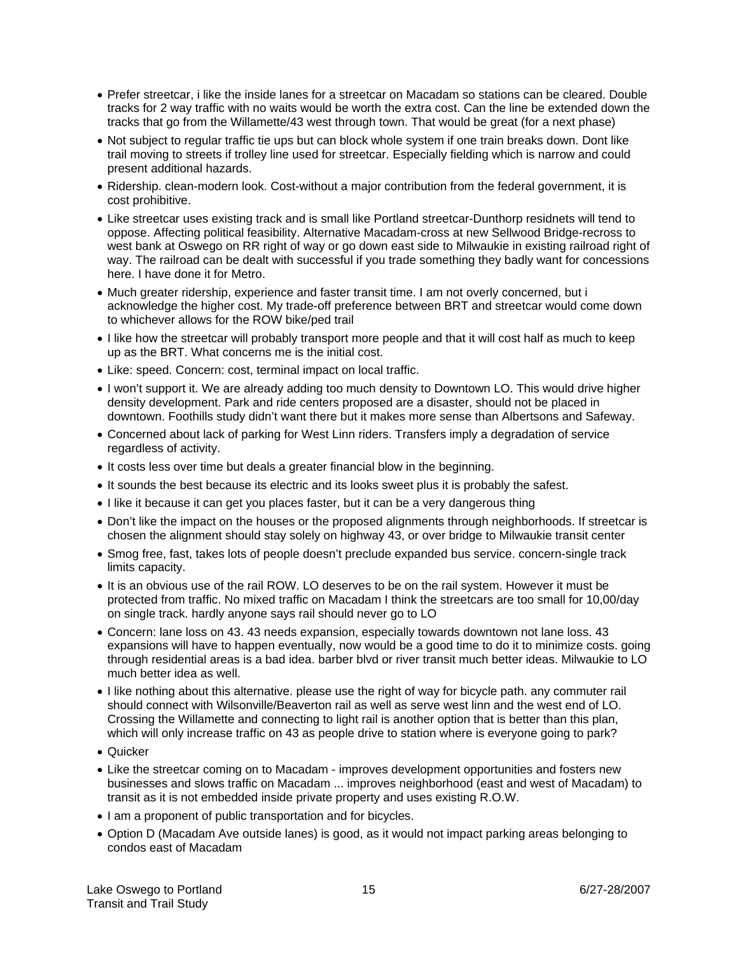- Prefer streetcar, i like the inside lanes for a streetcar on Macadam so stations can be cleared. Double tracks for 2 way traffic with no waits would be worth the extra cost. Can the line be extended down the tracks that go from the Willamette/43 west through town. That would be great (for a next phase)
- Not subject to regular traffic tie ups but can block whole system if one train breaks down. Dont like trail moving to streets if trolley line used for streetcar. Especially fielding which is narrow and could present additional hazards.
- Ridership. clean-modern look. Cost-without a major contribution from the federal government, it is cost prohibitive.
- Like streetcar uses existing track and is small like Portland streetcar-Dunthorp residnets will tend to oppose. Affecting political feasibility. Alternative Macadam-cross at new Sellwood Bridge-recross to west bank at Oswego on RR right of way or go down east side to Milwaukie in existing railroad right of way. The railroad can be dealt with successful if you trade something they badly want for concessions here. I have done it for Metro.
- Much greater ridership, experience and faster transit time. I am not overly concerned, but i acknowledge the higher cost. My trade-off preference between BRT and streetcar would come down to whichever allows for the ROW bike/ped trail
- I like how the streetcar will probably transport more people and that it will cost half as much to keep up as the BRT. What concerns me is the initial cost.
- Like: speed. Concern: cost, terminal impact on local traffic.
- I won't support it. We are already adding too much density to Downtown LO. This would drive higher density development. Park and ride centers proposed are a disaster, should not be placed in downtown. Foothills study didn't want there but it makes more sense than Albertsons and Safeway.
- Concerned about lack of parking for West Linn riders. Transfers imply a degradation of service regardless of activity.
- It costs less over time but deals a greater financial blow in the beginning.
- It sounds the best because its electric and its looks sweet plus it is probably the safest.
- I like it because it can get you places faster, but it can be a very dangerous thing
- Don't like the impact on the houses or the proposed alignments through neighborhoods. If streetcar is chosen the alignment should stay solely on highway 43, or over bridge to Milwaukie transit center
- Smog free, fast, takes lots of people doesn't preclude expanded bus service. concern-single track limits capacity.
- It is an obvious use of the rail ROW. LO deserves to be on the rail system. However it must be protected from traffic. No mixed traffic on Macadam I think the streetcars are too small for 10,00/day on single track. hardly anyone says rail should never go to LO
- Concern: lane loss on 43. 43 needs expansion, especially towards downtown not lane loss. 43 expansions will have to happen eventually, now would be a good time to do it to minimize costs. going through residential areas is a bad idea. barber blvd or river transit much better ideas. Milwaukie to LO much better idea as well.
- I like nothing about this alternative. please use the right of way for bicycle path. any commuter rail should connect with Wilsonville/Beaverton rail as well as serve west linn and the west end of LO. Crossing the Willamette and connecting to light rail is another option that is better than this plan, which will only increase traffic on 43 as people drive to station where is everyone going to park?
- Quicker
- Like the streetcar coming on to Macadam improves development opportunities and fosters new businesses and slows traffic on Macadam ... improves neighborhood (east and west of Macadam) to transit as it is not embedded inside private property and uses existing R.O.W.
- I am a proponent of public transportation and for bicycles.
- Option D (Macadam Ave outside lanes) is good, as it would not impact parking areas belonging to condos east of Macadam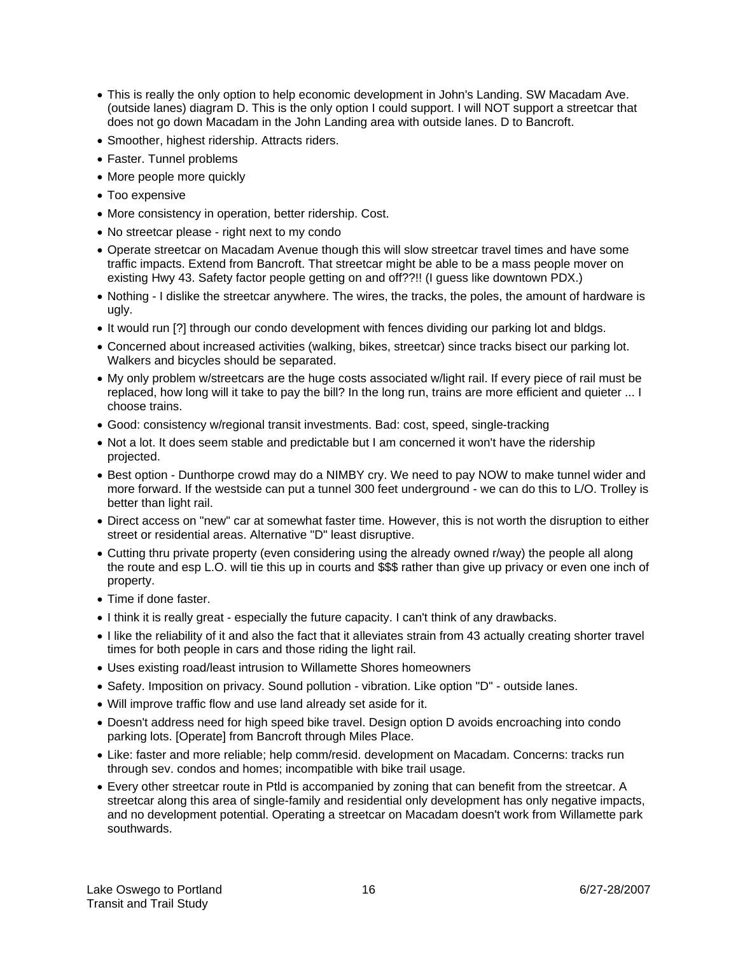- This is really the only option to help economic development in John's Landing. SW Macadam Ave. (outside lanes) diagram D. This is the only option I could support. I will NOT support a streetcar that does not go down Macadam in the John Landing area with outside lanes. D to Bancroft.
- Smoother, highest ridership. Attracts riders.
- Faster. Tunnel problems
- More people more quickly
- Too expensive
- More consistency in operation, better ridership. Cost.
- No streetcar please right next to my condo
- Operate streetcar on Macadam Avenue though this will slow streetcar travel times and have some traffic impacts. Extend from Bancroft. That streetcar might be able to be a mass people mover on existing Hwy 43. Safety factor people getting on and off??!! (I guess like downtown PDX.)
- Nothing I dislike the streetcar anywhere. The wires, the tracks, the poles, the amount of hardware is ugly.
- It would run [?] through our condo development with fences dividing our parking lot and bldgs.
- Concerned about increased activities (walking, bikes, streetcar) since tracks bisect our parking lot. Walkers and bicycles should be separated.
- My only problem w/streetcars are the huge costs associated w/light rail. If every piece of rail must be replaced, how long will it take to pay the bill? In the long run, trains are more efficient and quieter ... I choose trains.
- Good: consistency w/regional transit investments. Bad: cost, speed, single-tracking
- Not a lot. It does seem stable and predictable but I am concerned it won't have the ridership projected.
- Best option Dunthorpe crowd may do a NIMBY cry. We need to pay NOW to make tunnel wider and more forward. If the westside can put a tunnel 300 feet underground - we can do this to L/O. Trolley is better than light rail.
- Direct access on "new" car at somewhat faster time. However, this is not worth the disruption to either street or residential areas. Alternative "D" least disruptive.
- Cutting thru private property (even considering using the already owned r/way) the people all along the route and esp L.O. will tie this up in courts and \$\$\$ rather than give up privacy or even one inch of property.
- Time if done faster.
- I think it is really great especially the future capacity. I can't think of any drawbacks.
- I like the reliability of it and also the fact that it alleviates strain from 43 actually creating shorter travel times for both people in cars and those riding the light rail.
- Uses existing road/least intrusion to Willamette Shores homeowners
- Safety. Imposition on privacy. Sound pollution vibration. Like option "D" outside lanes.
- Will improve traffic flow and use land already set aside for it.
- Doesn't address need for high speed bike travel. Design option D avoids encroaching into condo parking lots. [Operate] from Bancroft through Miles Place.
- Like: faster and more reliable; help comm/resid. development on Macadam. Concerns: tracks run through sev. condos and homes; incompatible with bike trail usage.
- Every other streetcar route in Ptld is accompanied by zoning that can benefit from the streetcar. A streetcar along this area of single-family and residential only development has only negative impacts, and no development potential. Operating a streetcar on Macadam doesn't work from Willamette park southwards.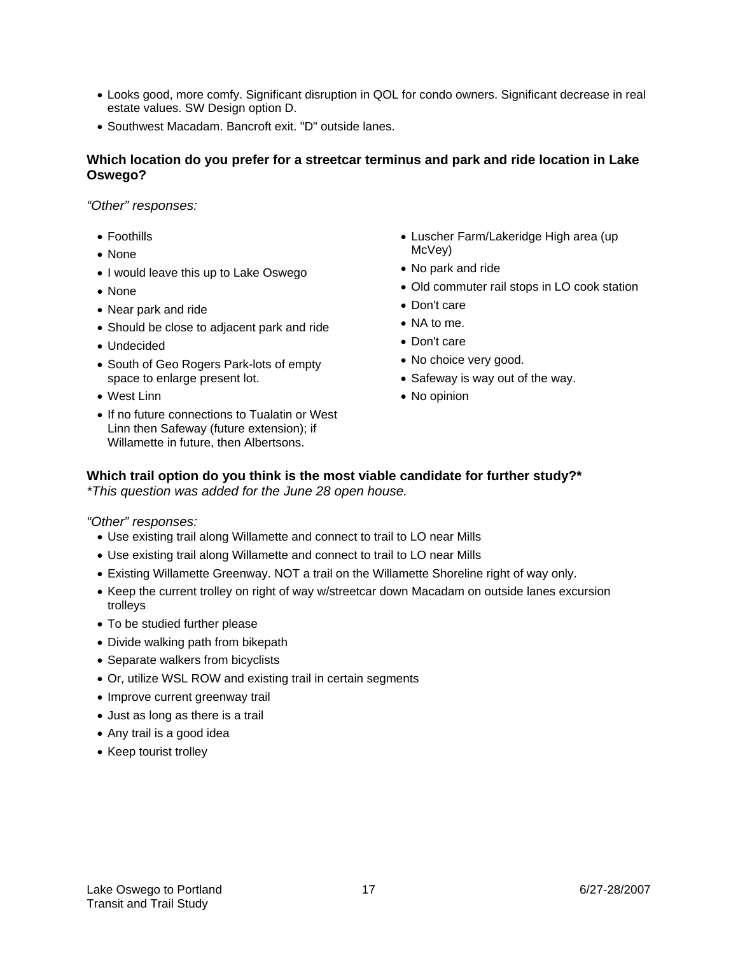- Looks good, more comfy. Significant disruption in QOL for condo owners. Significant decrease in real estate values. SW Design option D.
- Southwest Macadam. Bancroft exit. "D" outside lanes.

#### **Which location do you prefer for a streetcar terminus and park and ride location in Lake Oswego?**

*"Other" responses:* 

- Foothills
- None
- I would leave this up to Lake Oswego
- None
- Near park and ride
- Should be close to adjacent park and ride
- Undecided
- South of Geo Rogers Park-lots of empty space to enlarge present lot.
- West Linn
- If no future connections to Tualatin or West Linn then Safeway (future extension); if Willamette in future, then Albertsons.
- Luscher Farm/Lakeridge High area (up McVey)
- No park and ride
- Old commuter rail stops in LO cook station
- Don't care
- NA to me.
- Don't care
- No choice very good.
- Safeway is way out of the way.
- No opinion

#### **Which trail option do you think is the most viable candidate for further study?\***  *\*This question was added for the June 28 open house.*

*"Other" responses:* 

- Use existing trail along Willamette and connect to trail to LO near Mills
- Use existing trail along Willamette and connect to trail to LO near Mills
- Existing Willamette Greenway. NOT a trail on the Willamette Shoreline right of way only.
- Keep the current trolley on right of way w/streetcar down Macadam on outside lanes excursion trolleys
- To be studied further please
- Divide walking path from bikepath
- Separate walkers from bicyclists
- Or, utilize WSL ROW and existing trail in certain segments
- Improve current greenway trail
- Just as long as there is a trail
- Any trail is a good idea
- Keep tourist trolley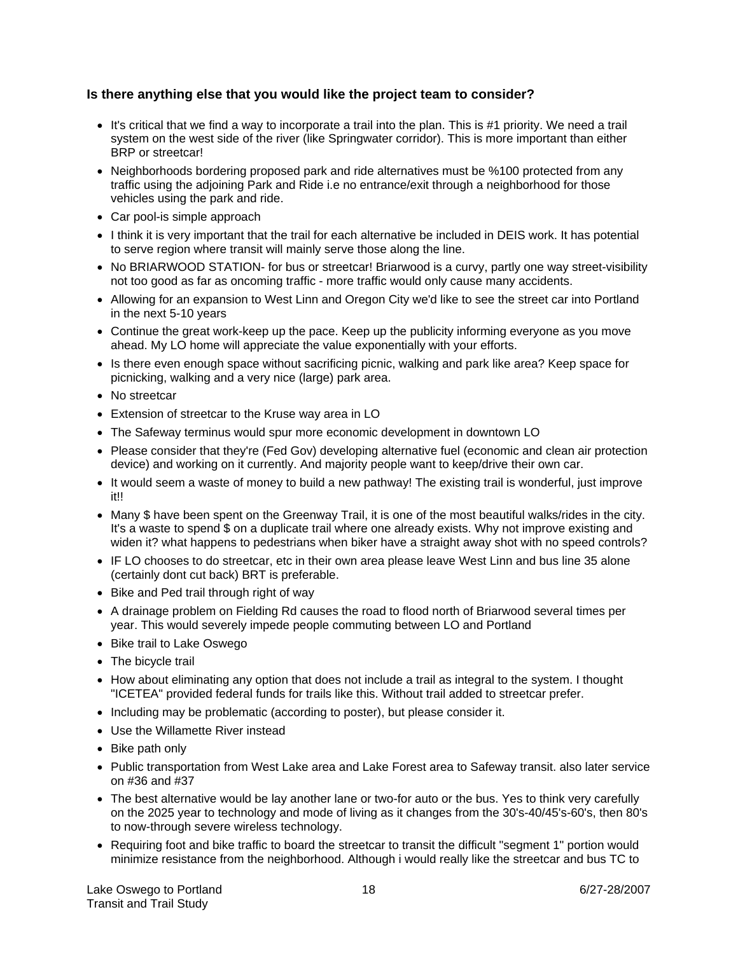#### **Is there anything else that you would like the project team to consider?**

- It's critical that we find a way to incorporate a trail into the plan. This is #1 priority. We need a trail system on the west side of the river (like Springwater corridor). This is more important than either BRP or streetcar!
- Neighborhoods bordering proposed park and ride alternatives must be %100 protected from any traffic using the adjoining Park and Ride i.e no entrance/exit through a neighborhood for those vehicles using the park and ride.
- Car pool-is simple approach
- I think it is very important that the trail for each alternative be included in DEIS work. It has potential to serve region where transit will mainly serve those along the line.
- No BRIARWOOD STATION- for bus or streetcar! Briarwood is a curvy, partly one way street-visibility not too good as far as oncoming traffic - more traffic would only cause many accidents.
- Allowing for an expansion to West Linn and Oregon City we'd like to see the street car into Portland in the next 5-10 years
- Continue the great work-keep up the pace. Keep up the publicity informing everyone as you move ahead. My LO home will appreciate the value exponentially with your efforts.
- Is there even enough space without sacrificing picnic, walking and park like area? Keep space for picnicking, walking and a very nice (large) park area.
- No streetcar
- Extension of streetcar to the Kruse way area in LO
- The Safeway terminus would spur more economic development in downtown LO
- Please consider that they're (Fed Gov) developing alternative fuel (economic and clean air protection device) and working on it currently. And majority people want to keep/drive their own car.
- It would seem a waste of money to build a new pathway! The existing trail is wonderful, just improve it!!
- Many \$ have been spent on the Greenway Trail, it is one of the most beautiful walks/rides in the city. It's a waste to spend \$ on a duplicate trail where one already exists. Why not improve existing and widen it? what happens to pedestrians when biker have a straight away shot with no speed controls?
- IF LO chooses to do streetcar, etc in their own area please leave West Linn and bus line 35 alone (certainly dont cut back) BRT is preferable.
- Bike and Ped trail through right of way
- A drainage problem on Fielding Rd causes the road to flood north of Briarwood several times per year. This would severely impede people commuting between LO and Portland
- Bike trail to Lake Oswego
- The bicycle trail
- How about eliminating any option that does not include a trail as integral to the system. I thought "ICETEA" provided federal funds for trails like this. Without trail added to streetcar prefer.
- Including may be problematic (according to poster), but please consider it.
- Use the Willamette River instead
- Bike path only
- Public transportation from West Lake area and Lake Forest area to Safeway transit. also later service on #36 and #37
- The best alternative would be lay another lane or two-for auto or the bus. Yes to think very carefully on the 2025 year to technology and mode of living as it changes from the 30's-40/45's-60's, then 80's to now-through severe wireless technology.
- Requiring foot and bike traffic to board the streetcar to transit the difficult "segment 1" portion would minimize resistance from the neighborhood. Although i would really like the streetcar and bus TC to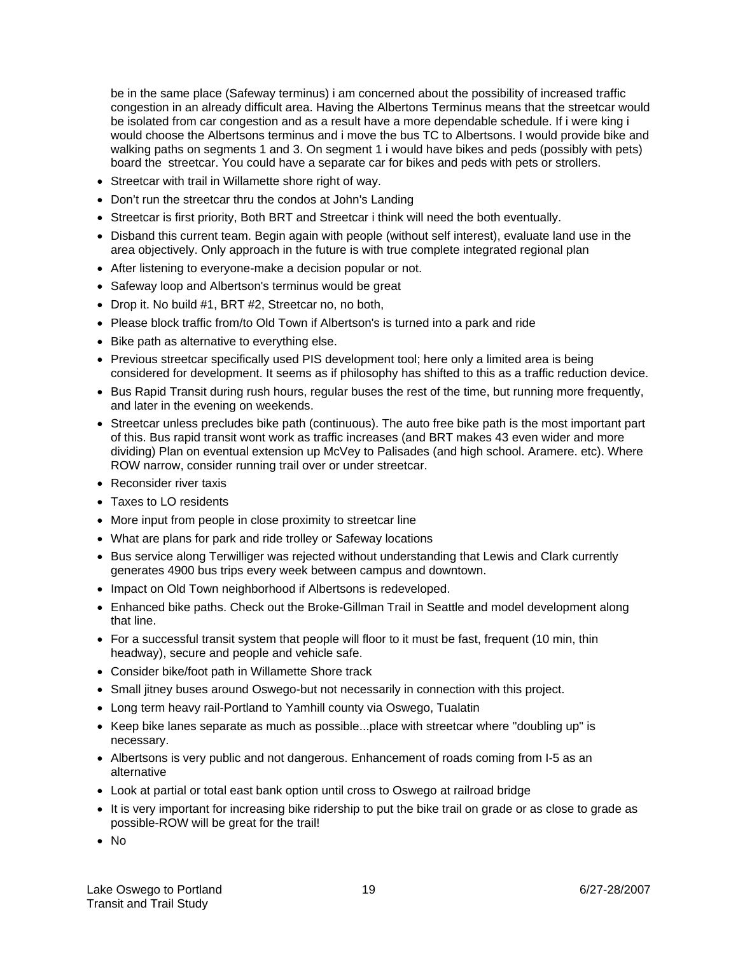be in the same place (Safeway terminus) i am concerned about the possibility of increased traffic congestion in an already difficult area. Having the Albertons Terminus means that the streetcar would be isolated from car congestion and as a result have a more dependable schedule. If i were king i would choose the Albertsons terminus and i move the bus TC to Albertsons. I would provide bike and walking paths on segments 1 and 3. On segment 1 i would have bikes and peds (possibly with pets) board the streetcar. You could have a separate car for bikes and peds with pets or strollers.

- Streetcar with trail in Willamette shore right of way.
- Don't run the streetcar thru the condos at John's Landing
- Streetcar is first priority, Both BRT and Streetcar i think will need the both eventually.
- Disband this current team. Begin again with people (without self interest), evaluate land use in the area objectively. Only approach in the future is with true complete integrated regional plan
- After listening to everyone-make a decision popular or not.
- Safeway loop and Albertson's terminus would be great
- Drop it. No build #1, BRT #2, Streetcar no, no both,
- Please block traffic from/to Old Town if Albertson's is turned into a park and ride
- Bike path as alternative to everything else.
- Previous streetcar specifically used PIS development tool; here only a limited area is being considered for development. It seems as if philosophy has shifted to this as a traffic reduction device.
- Bus Rapid Transit during rush hours, regular buses the rest of the time, but running more frequently, and later in the evening on weekends.
- Streetcar unless precludes bike path (continuous). The auto free bike path is the most important part of this. Bus rapid transit wont work as traffic increases (and BRT makes 43 even wider and more dividing) Plan on eventual extension up McVey to Palisades (and high school. Aramere. etc). Where ROW narrow, consider running trail over or under streetcar.
- Reconsider river taxis
- Taxes to LO residents
- More input from people in close proximity to streetcar line
- What are plans for park and ride trolley or Safeway locations
- Bus service along Terwilliger was rejected without understanding that Lewis and Clark currently generates 4900 bus trips every week between campus and downtown.
- Impact on Old Town neighborhood if Albertsons is redeveloped.
- Enhanced bike paths. Check out the Broke-Gillman Trail in Seattle and model development along that line.
- For a successful transit system that people will floor to it must be fast, frequent (10 min, thin headway), secure and people and vehicle safe.
- Consider bike/foot path in Willamette Shore track
- Small jitney buses around Oswego-but not necessarily in connection with this project.
- Long term heavy rail-Portland to Yamhill county via Oswego, Tualatin
- Keep bike lanes separate as much as possible...place with streetcar where "doubling up" is necessary.
- Albertsons is very public and not dangerous. Enhancement of roads coming from I-5 as an alternative
- Look at partial or total east bank option until cross to Oswego at railroad bridge
- It is very important for increasing bike ridership to put the bike trail on grade or as close to grade as possible-ROW will be great for the trail!
- No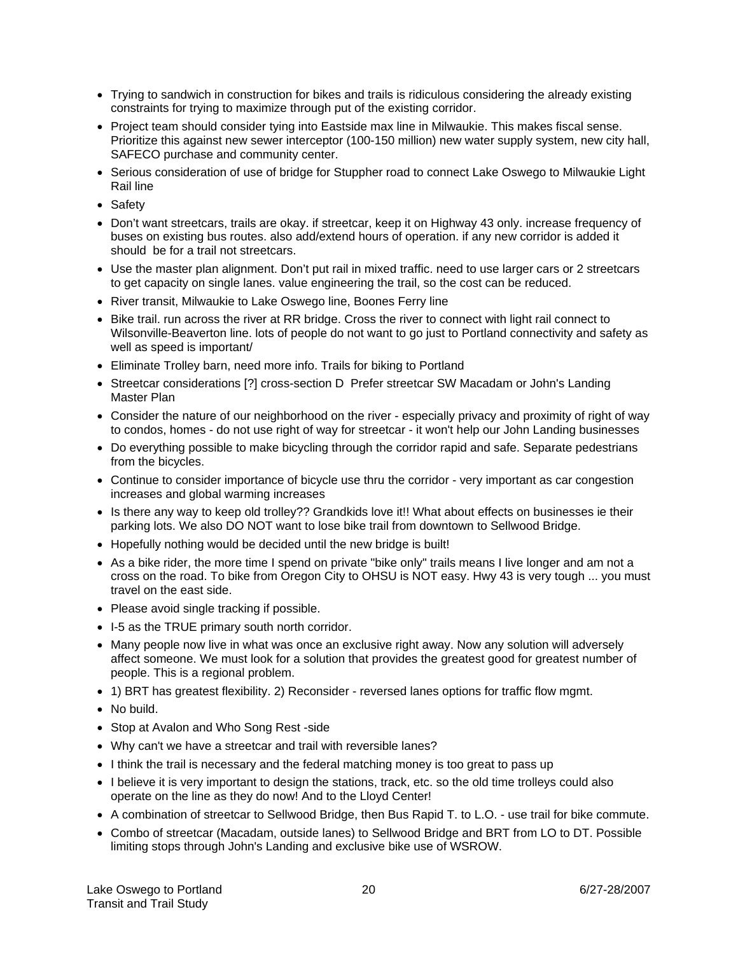- Trying to sandwich in construction for bikes and trails is ridiculous considering the already existing constraints for trying to maximize through put of the existing corridor.
- Project team should consider tying into Eastside max line in Milwaukie. This makes fiscal sense. Prioritize this against new sewer interceptor (100-150 million) new water supply system, new city hall, SAFECO purchase and community center.
- Serious consideration of use of bridge for Stuppher road to connect Lake Oswego to Milwaukie Light Rail line
- Safety
- Don't want streetcars, trails are okay. if streetcar, keep it on Highway 43 only. increase frequency of buses on existing bus routes. also add/extend hours of operation. if any new corridor is added it should be for a trail not streetcars.
- Use the master plan alignment. Don't put rail in mixed traffic. need to use larger cars or 2 streetcars to get capacity on single lanes. value engineering the trail, so the cost can be reduced.
- River transit, Milwaukie to Lake Oswego line, Boones Ferry line
- Bike trail. run across the river at RR bridge. Cross the river to connect with light rail connect to Wilsonville-Beaverton line. lots of people do not want to go just to Portland connectivity and safety as well as speed is important/
- Eliminate Trolley barn, need more info. Trails for biking to Portland
- Streetcar considerations [?] cross-section D Prefer streetcar SW Macadam or John's Landing Master Plan
- Consider the nature of our neighborhood on the river especially privacy and proximity of right of way to condos, homes - do not use right of way for streetcar - it won't help our John Landing businesses
- Do everything possible to make bicycling through the corridor rapid and safe. Separate pedestrians from the bicycles.
- Continue to consider importance of bicycle use thru the corridor very important as car congestion increases and global warming increases
- Is there any way to keep old trolley?? Grandkids love it!! What about effects on businesses ie their parking lots. We also DO NOT want to lose bike trail from downtown to Sellwood Bridge.
- Hopefully nothing would be decided until the new bridge is built!
- As a bike rider, the more time I spend on private "bike only" trails means I live longer and am not a cross on the road. To bike from Oregon City to OHSU is NOT easy. Hwy 43 is very tough ... you must travel on the east side.
- Please avoid single tracking if possible.
- I-5 as the TRUE primary south north corridor.
- Many people now live in what was once an exclusive right away. Now any solution will adversely affect someone. We must look for a solution that provides the greatest good for greatest number of people. This is a regional problem.
- 1) BRT has greatest flexibility. 2) Reconsider reversed lanes options for traffic flow mgmt.
- No build.
- Stop at Avalon and Who Song Rest -side
- Why can't we have a streetcar and trail with reversible lanes?
- I think the trail is necessary and the federal matching money is too great to pass up
- I believe it is very important to design the stations, track, etc. so the old time trolleys could also operate on the line as they do now! And to the Lloyd Center!
- A combination of streetcar to Sellwood Bridge, then Bus Rapid T. to L.O. use trail for bike commute.
- Combo of streetcar (Macadam, outside lanes) to Sellwood Bridge and BRT from LO to DT. Possible limiting stops through John's Landing and exclusive bike use of WSROW.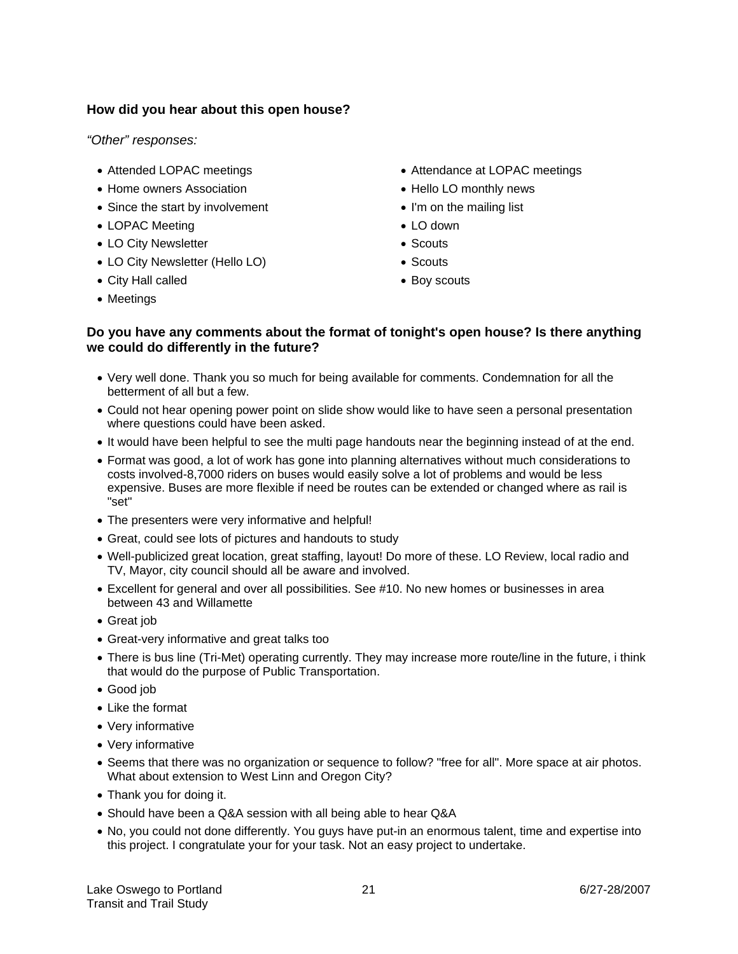#### **How did you hear about this open house?**

*"Other" responses:* 

- Attended LOPAC meetings
- Home owners Association
- Since the start by involvement
- LOPAC Meeting
- LO City Newsletter
- LO City Newsletter (Hello LO)
- City Hall called
- Meetings
- Attendance at LOPAC meetings
- Hello LO monthly news
- I'm on the mailing list
- LO down
- Scouts
- Scouts
- Boy scouts

#### **Do you have any comments about the format of tonight's open house? Is there anything we could do differently in the future?**

- Very well done. Thank you so much for being available for comments. Condemnation for all the betterment of all but a few.
- Could not hear opening power point on slide show would like to have seen a personal presentation where questions could have been asked.
- It would have been helpful to see the multi page handouts near the beginning instead of at the end.
- Format was good, a lot of work has gone into planning alternatives without much considerations to costs involved-8,7000 riders on buses would easily solve a lot of problems and would be less expensive. Buses are more flexible if need be routes can be extended or changed where as rail is "set"
- The presenters were very informative and helpful!
- Great, could see lots of pictures and handouts to study
- Well-publicized great location, great staffing, layout! Do more of these. LO Review, local radio and TV, Mayor, city council should all be aware and involved.
- Excellent for general and over all possibilities. See #10. No new homes or businesses in area between 43 and Willamette
- Great job
- Great-very informative and great talks too
- There is bus line (Tri-Met) operating currently. They may increase more route/line in the future, i think that would do the purpose of Public Transportation.
- Good job
- Like the format
- Very informative
- Very informative
- Seems that there was no organization or sequence to follow? "free for all". More space at air photos. What about extension to West Linn and Oregon City?
- Thank you for doing it.
- Should have been a Q&A session with all being able to hear Q&A
- No, you could not done differently. You guys have put-in an enormous talent, time and expertise into this project. I congratulate your for your task. Not an easy project to undertake.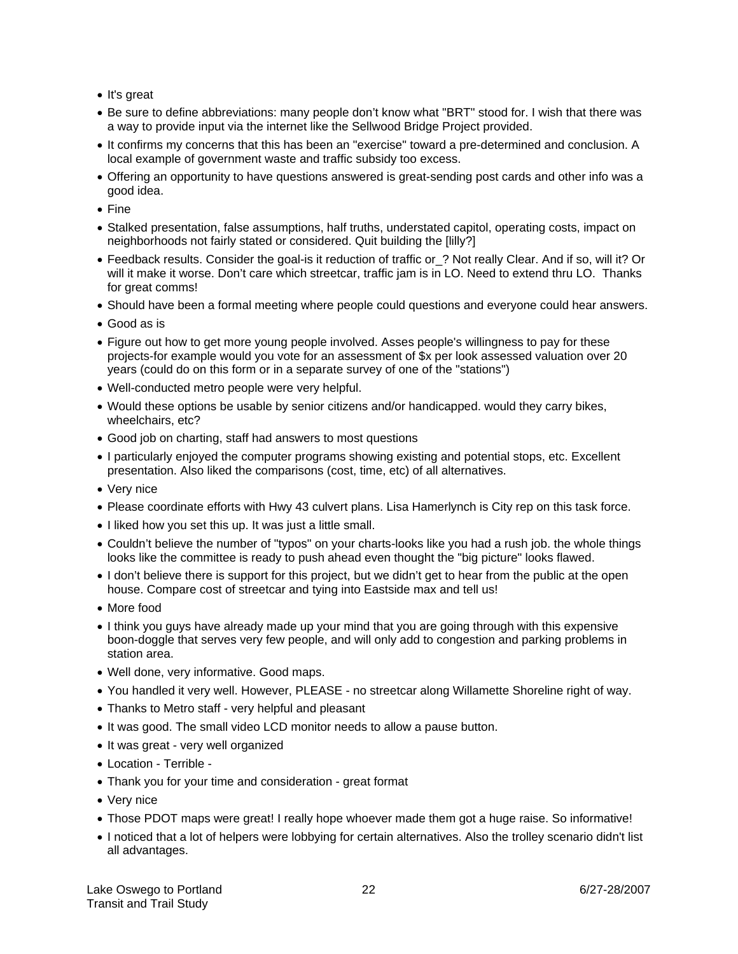- It's great
- Be sure to define abbreviations: many people don't know what "BRT" stood for. I wish that there was a way to provide input via the internet like the Sellwood Bridge Project provided.
- It confirms my concerns that this has been an "exercise" toward a pre-determined and conclusion. A local example of government waste and traffic subsidy too excess.
- Offering an opportunity to have questions answered is great-sending post cards and other info was a good idea.
- Fine
- Stalked presentation, false assumptions, half truths, understated capitol, operating costs, impact on neighborhoods not fairly stated or considered. Quit building the [lilly?]
- Feedback results. Consider the goal-is it reduction of traffic or ? Not really Clear. And if so, will it? Or will it make it worse. Don't care which streetcar, traffic jam is in LO. Need to extend thru LO. Thanks for great comms!
- Should have been a formal meeting where people could questions and everyone could hear answers.
- Good as is
- Figure out how to get more young people involved. Asses people's willingness to pay for these projects-for example would you vote for an assessment of \$x per look assessed valuation over 20 years (could do on this form or in a separate survey of one of the "stations")
- Well-conducted metro people were very helpful.
- Would these options be usable by senior citizens and/or handicapped. would they carry bikes, wheelchairs, etc?
- Good job on charting, staff had answers to most questions
- I particularly enjoyed the computer programs showing existing and potential stops, etc. Excellent presentation. Also liked the comparisons (cost, time, etc) of all alternatives.
- Very nice
- Please coordinate efforts with Hwy 43 culvert plans. Lisa Hamerlynch is City rep on this task force.
- I liked how you set this up. It was just a little small.
- Couldn't believe the number of "typos" on your charts-looks like you had a rush job. the whole things looks like the committee is ready to push ahead even thought the "big picture" looks flawed.
- I don't believe there is support for this project, but we didn't get to hear from the public at the open house. Compare cost of streetcar and tying into Eastside max and tell us!
- More food
- I think you guys have already made up your mind that you are going through with this expensive boon-doggle that serves very few people, and will only add to congestion and parking problems in station area.
- Well done, very informative. Good maps.
- You handled it very well. However, PLEASE no streetcar along Willamette Shoreline right of way.
- Thanks to Metro staff very helpful and pleasant
- It was good. The small video LCD monitor needs to allow a pause button.
- It was great very well organized
- Location Terrible -
- Thank you for your time and consideration great format
- Very nice
- Those PDOT maps were great! I really hope whoever made them got a huge raise. So informative!
- I noticed that a lot of helpers were lobbying for certain alternatives. Also the trolley scenario didn't list all advantages.